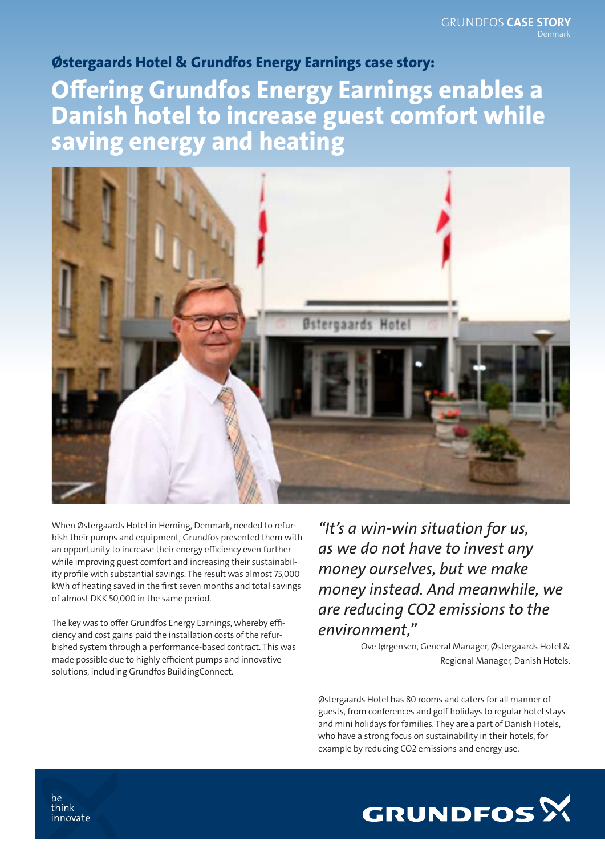## Østergaards Hotel & Grundfos Energy Earnings case story: Offering Grundfos Energy Earnings enables a Danish hotel to increase guest comfort while saving energy and heating



When Østergaards Hotel in Herning, Denmark, needed to refurbish their pumps and equipment, Grundfos presented them with an opportunity to increase their energy efficiency even further while improving guest comfort and increasing their sustainability profile with substantial savings. The result was almost 75,000 kWh of heating saved in the first seven months and total savings of almost DKK 50,000 in the same period.

The key was to offer Grundfos Energy Earnings, whereby efficiency and cost gains paid the installation costs of the refurbished system through a performance-based contract. This was made possible due to highly efficient pumps and innovative solutions, including Grundfos BuildingConnect.

*"It's a win-win situation for us, as we do not have to invest any money ourselves, but we make money instead. And meanwhile, we are reducing CO2 emissions to the environment,"*

> Ove Jørgensen, General Manager, Østergaards Hotel & Regional Manager, Danish Hotels.

Østergaards Hotel has 80 rooms and caters for all manner of guests, from conferences and golf holidays to regular hotel stays and mini holidays for families. They are a part of Danish Hotels, who have a strong focus on sustainability in their hotels, for example by reducing CO2 emissions and energy use.



be think innovate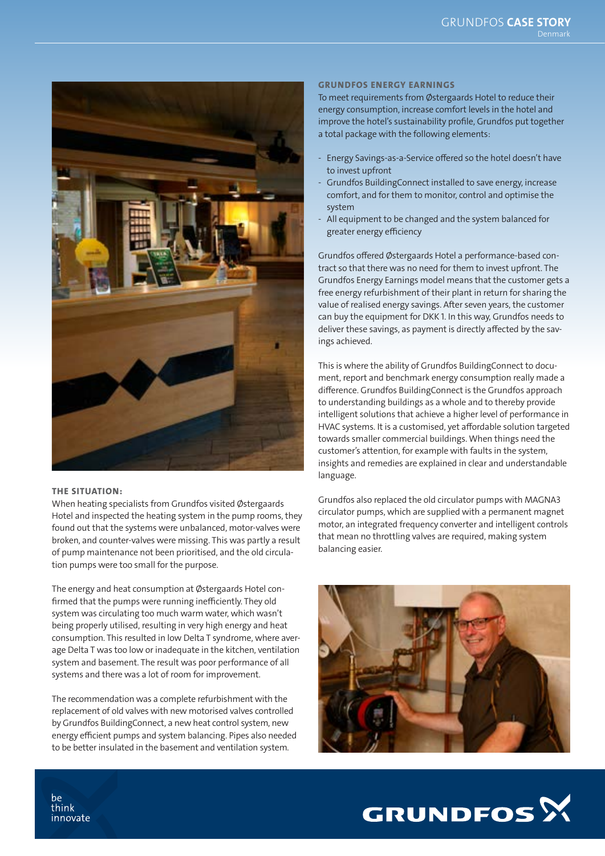

## THE SITUATION:

When heating specialists from Grundfos visited Østergaards Hotel and inspected the heating system in the pump rooms, they found out that the systems were unbalanced, motor-valves were broken, and counter-valves were missing. This was partly a result of pump maintenance not been prioritised, and the old circulation pumps were too small for the purpose.

The energy and heat consumption at Østergaards Hotel confirmed that the pumps were running inefficiently. They old system was circulating too much warm water, which wasn't being properly utilised, resulting in very high energy and heat consumption. This resulted in low Delta T syndrome, where average Delta T was too low or inadequate in the kitchen, ventilation system and basement. The result was poor performance of all systems and there was a lot of room for improvement.

The recommendation was a complete refurbishment with the replacement of old valves with new motorised valves controlled by Grundfos BuildingConnect, a new heat control system, new energy efficient pumps and system balancing. Pipes also needed to be better insulated in the basement and ventilation system.

## GRUNDFOS ENERGY EARNINGS

To meet requirements from Østergaards Hotel to reduce their energy consumption, increase comfort levels in the hotel and improve the hotel's sustainability profile, Grundfos put together a total package with the following elements:

- Energy Savings-as-a-Service offered so the hotel doesn't have to invest upfront
- Grundfos BuildingConnect installed to save energy, increase comfort, and for them to monitor, control and optimise the system
- All equipment to be changed and the system balanced for greater energy efficiency

Grundfos offered Østergaards Hotel a performance-based contract so that there was no need for them to invest upfront. The Grundfos Energy Earnings model means that the customer gets a free energy refurbishment of their plant in return for sharing the value of realised energy savings. After seven years, the customer can buy the equipment for DKK 1. In this way, Grundfos needs to deliver these savings, as payment is directly affected by the savings achieved.

This is where the ability of Grundfos BuildingConnect to document, report and benchmark energy consumption really made a difference. Grundfos BuildingConnect is the Grundfos approach to understanding buildings as a whole and to thereby provide intelligent solutions that achieve a higher level of performance in HVAC systems. It is a customised, yet affordable solution targeted towards smaller commercial buildings. When things need the customer's attention, for example with faults in the system, insights and remedies are explained in clear and understandable language.

Grundfos also replaced the old circulator pumps with MAGNA3 circulator pumps, which are supplied with a permanent magnet motor, an integrated frequency converter and intelligent controls that mean no throttling valves are required, making system balancing easier.





be think innovate